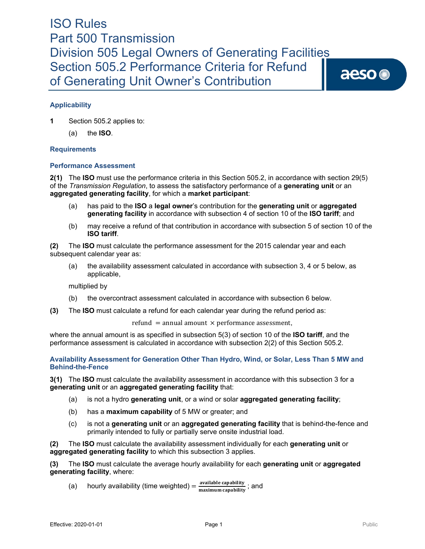aeso<sup>®</sup>

## **Applicability**

**1** Section 505.2 applies to:

(a) the **ISO**.

#### **Requirements**

#### **Performance Assessment**

**2(1)** The **ISO** must use the performance criteria in this Section 505.2, in accordance with section 29(5) of the *Transmission Regulation*, to assess the satisfactory performance of a **generating unit** or an **aggregated generating facility**, for which a **market participant**:

- (a) has paid to the **ISO** a **legal owner**'s contribution for the **generating unit** or **aggregated generating facility** in accordance with subsection 4 of section 10 of the **ISO tariff**; and
- (b) may receive a refund of that contribution in accordance with subsection 5 of section 10 of the **ISO tariff**.

**(2)** The **ISO** must calculate the performance assessment for the 2015 calendar year and each subsequent calendar year as:

(a) the availability assessment calculated in accordance with subsection 3, 4 or 5 below, as applicable,

multiplied by

- (b) the overcontract assessment calculated in accordance with subsection 6 below.
- **(3)** The **ISO** must calculate a refund for each calendar year during the refund period as:

refund = annual amount  $\times$  performance assessment,

where the annual amount is as specified in subsection 5(3) of section 10 of the **ISO tariff**, and the performance assessment is calculated in accordance with subsection 2(2) of this Section 505.2.

**Availability Assessment for Generation Other Than Hydro, Wind, or Solar, Less Than 5 MW and Behind-the-Fence**

**3(1)** The **ISO** must calculate the availability assessment in accordance with this subsection 3 for a **generating unit** or an **aggregated generating facility** that:

- (a) is not a hydro **generating unit**, or a wind or solar **aggregated generating facility**;
- (b) has a **maximum capability** of 5 MW or greater; and
- (c) is not a **generating unit** or an **aggregated generating facility** that is behind-the-fence and primarily intended to fully or partially serve onsite industrial load.

**(2)** The **ISO** must calculate the availability assessment individually for each **generating unit** or **aggregated generating facility** to which this subsection 3 applies.

**(3)** The **ISO** must calculate the average hourly availability for each **generating unit** or **aggregated generating facility**, where:

(a) hourly availability (time weighted)  $=\frac{\text{available capability}}{\text{maximum capability}}$ ; and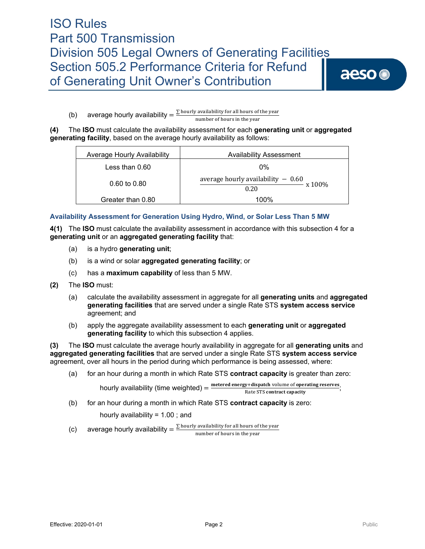

(b) average hourly availability =  $\frac{\sum \text{hourly availability for all hours of the year}}{\sum \text{ hours for each time}}$ 

number of hours in the year

#### **(4)** The **ISO** must calculate the availability assessment for each **generating unit** or **aggregated generating facility**, based on the average hourly availability as follows:

| Average Hourly Availability | <b>Availability Assessment</b>                   |
|-----------------------------|--------------------------------------------------|
| Less than $0.60$            | 0%                                               |
| 0.60 to 0.80                | average hourly availability $-0.60 \times 100\%$ |
| Greater than 0.80           | 1በበ%                                             |

### **Availability Assessment for Generation Using Hydro, Wind, or Solar Less Than 5 MW**

**4(1)** The **ISO** must calculate the availability assessment in accordance with this subsection 4 for a **generating unit** or an **aggregated generating facility** that:

- (a) is a hydro **generating unit**;
- (b) is a wind or solar **aggregated generating facility**; or
- (c) has a **maximum capability** of less than 5 MW.
- **(2)** The **ISO** must:
	- (a) calculate the availability assessment in aggregate for all **generating units** and **aggregated generating facilities** that are served under a single Rate STS **system access service** agreement; and
	- (b) apply the aggregate availability assessment to each **generating unit** or **aggregated generating facility** to which this subsection 4 applies.

**(3)** The **ISO** must calculate the average hourly availability in aggregate for all **generating units** and **aggregated generating facilities** that are served under a single Rate STS **system access service**  agreement, over all hours in the period during which performance is being assessed, where:

(a) for an hour during a month in which Rate STS **contract capacity** is greater than zero:

hourly availability (time weighted) =  $\frac{\text{metered energy+dispatch volume of operating reserves}}{\text{Rate STS contract capacity}}$ ;

(b) for an hour during a month in which Rate STS **contract capacity** is zero:

hourly availability  $= 1.00$ ; and

(c) average hourly availability  $=\frac{\sum \text{hourly availability for all hours of the year}}{\text{number of hours in the year}}$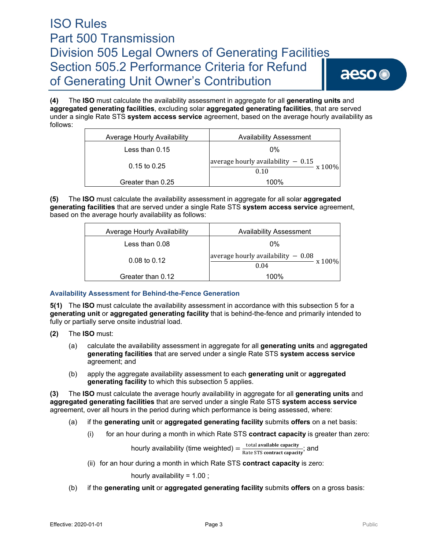**(4)** The **ISO** must calculate the availability assessment in aggregate for all **generating units** and **aggregated generating facilities**, excluding solar **aggregated generating facilities**, that are served under a single Rate STS **system access service** agreement, based on the average hourly availability as follows:

| Average Hourly Availability | <b>Availability Assessment</b>                   |
|-----------------------------|--------------------------------------------------|
| Less than $0.15$            |                                                  |
| $0.15$ to 0.25              | average hourly <u>availability</u> - 0.15 x 100% |
|                             |                                                  |
| Greater than 0.25           |                                                  |

**(5)** The **ISO** must calculate the availability assessment in aggregate for all solar **aggregated generating facilities** that are served under a single Rate STS **system access service** agreement, based on the average hourly availability as follows:

| Average Hourly Availability | Availability Assessment                         |
|-----------------------------|-------------------------------------------------|
| Less than $0.08$            | በ%                                              |
| $0.08 \text{ to } 0.12$     | average hourly availability $-0.08$<br>– x 100% |
| Greater than 0.12           | 1በበ%                                            |

### **Availability Assessment for Behind-the-Fence Generation**

**5(1)** The **ISO** must calculate the availability assessment in accordance with this subsection 5 for a **generating unit** or **aggregated generating facility** that is behind-the-fence and primarily intended to fully or partially serve onsite industrial load.

- **(2)** The **ISO** must:
	- (a) calculate the availability assessment in aggregate for all **generating units** and **aggregated generating facilities** that are served under a single Rate STS **system access service** agreement; and
	- (b) apply the aggregate availability assessment to each **generating unit** or **aggregated generating facility** to which this subsection 5 applies.

**(3)** The **ISO** must calculate the average hourly availability in aggregate for all **generating units** and **aggregated generating facilities** that are served under a single Rate STS **system access service** agreement, over all hours in the period during which performance is being assessed, where:

- (a) if the **generating unit** or **aggregated generating facility** submits **offers** on a net basis:
	- (i) for an hour during a month in which Rate STS **contract capacity** is greater than zero:

hourly availability (time weighted)  $=$   $\frac{\text{total available capacity}}{\text{Rate STS contract capacity}}$ ; and

(ii) for an hour during a month in which Rate STS **contract capacity** is zero:

hourly availability = 1.00 ;

(b) if the **generating unit** or **aggregated generating facility** submits **offers** on a gross basis: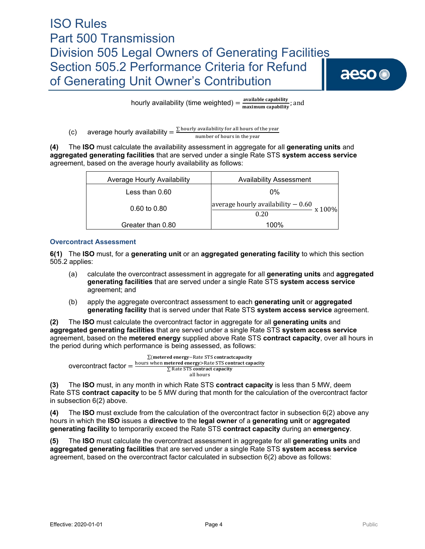aeso<sup>®</sup>

hourly availability (time weighted)  $=\frac{1}{\text{maximum capability}}$ ; and

(c) average hourly availability  $=$   $\frac{\sum \text{ hourly available}}{\sum \text{number of hours in the year}}$ 

**(4)** The **ISO** must calculate the availability assessment in aggregate for all **generating units** and **aggregated generating facilities** that are served under a single Rate STS **system access service** agreement, based on the average hourly availability as follows:

| Average Hourly Availability | Availability Assessment                                       |
|-----------------------------|---------------------------------------------------------------|
| Less than 0.60              | ገ%                                                            |
| $0.60 \text{ to } 0.80$     | average hourly availability $-0.60 \times 100\%$ <sup> </sup> |
| Greater than 0.80           | $00\%$                                                        |

### **Overcontract Assessment**

**6(1)** The **ISO** must, for a **generating unit** or an **aggregated generating facility** to which this section 505.2 applies:

- (a) calculate the overcontract assessment in aggregate for all **generating units** and **aggregated generating facilities** that are served under a single Rate STS **system access service** agreement; and
- (b) apply the aggregate overcontract assessment to each **generating unit** or **aggregated generating facility** that is served under that Rate STS **system access service** agreement.

**(2)** The **ISO** must calculate the overcontract factor in aggregate for all **generating units** and **aggregated generating facilities** that are served under a single Rate STS **system access service** agreement, based on the **metered energy** supplied above Rate STS **contract capacity**, over all hours in the period during which performance is being assessed, as follows:

overcontract factor =  $\Sigma$ (metered energy–Rate STS contractcapacity hours when <mark>metered energy></mark>Rate STS **contract capacity** ∑ Rate STS contract capacity all hours

**(3)** The **ISO** must, in any month in which Rate STS **contract capacity** is less than 5 MW, deem Rate STS **contract capacity** to be 5 MW during that month for the calculation of the overcontract factor in subsection 6(2) above.

**(4)** The **ISO** must exclude from the calculation of the overcontract factor in subsection 6(2) above any hours in which the **ISO** issues a **directive** to the **legal owner** of a **generating unit** or **aggregated generating facility** to temporarily exceed the Rate STS **contract capacity** during an **emergency**.

**(5)** The **ISO** must calculate the overcontract assessment in aggregate for all **generating units** and **aggregated generating facilities** that are served under a single Rate STS **system access service** agreement, based on the overcontract factor calculated in subsection 6(2) above as follows: